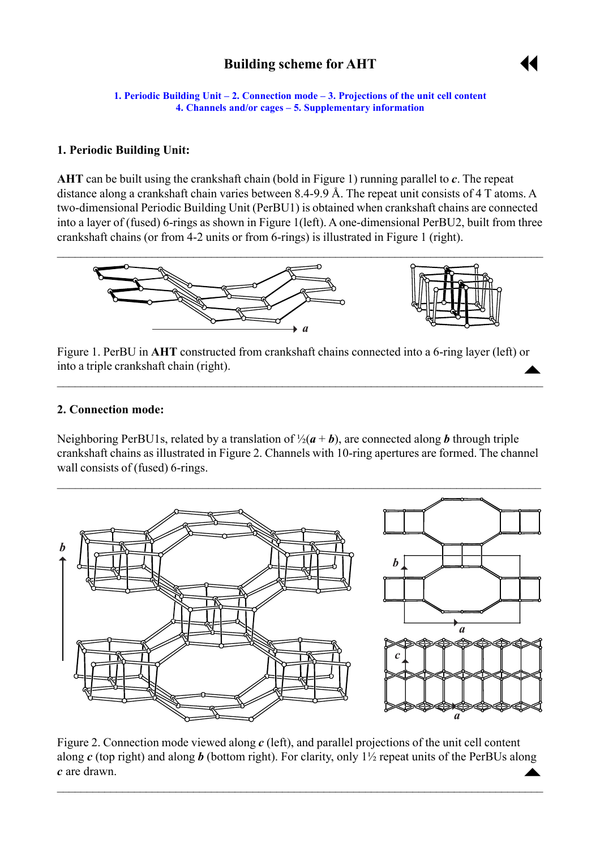# **Building scheme for AHT**



<span id="page-0-0"></span>**1. Periodic Building Unit – 2. Connection mode – [3. Projections of the unit cell](#page-1-0) content [4. Channels and/or cages](#page-1-0) – [5. Supplementary information](#page-1-0)** 

## **1. Periodic Building Unit:**

**AHT** can be built using the crankshaft chain (bold in Figure 1) running parallel to *c*. The repeat distance along a crankshaft chain varies between 8.4-9.9 Å. The repeat unit consists of 4 T atoms. A two-dimensional Periodic Building Unit (PerBU1) is obtained when crankshaft chains are connected into a layer of (fused) 6-rings as shown in Figure 1(left). A one-dimensional PerBU2, built from three crankshaft chains (or from 4-2 units or from 6-rings) is illustrated in Figure 1 (right).



Figure 1. PerBU in **AHT** constructed from crankshaft chains connected into a 6-ring layer (left) or into a triple crankshaft chain (right).  $\blacktriangle$ 

 $\mathcal{L}_\mathcal{L} = \mathcal{L}_\mathcal{L} = \mathcal{L}_\mathcal{L} = \mathcal{L}_\mathcal{L} = \mathcal{L}_\mathcal{L} = \mathcal{L}_\mathcal{L} = \mathcal{L}_\mathcal{L} = \mathcal{L}_\mathcal{L} = \mathcal{L}_\mathcal{L} = \mathcal{L}_\mathcal{L} = \mathcal{L}_\mathcal{L} = \mathcal{L}_\mathcal{L} = \mathcal{L}_\mathcal{L} = \mathcal{L}_\mathcal{L} = \mathcal{L}_\mathcal{L} = \mathcal{L}_\mathcal{L} = \mathcal{L}_\mathcal{L}$ 

### **2. Connection mode:**

Neighboring PerBU1s, related by a translation of  $\frac{1}{2}(a + b)$ , are connected along **b** through triple crankshaft chains as illustrated in Figure 2. Channels with 10-ring apertures are formed. The channel wall consists of (fused) 6-rings.



Figure 2. Connection mode viewed along *c* (left), and parallel projections of the unit cell content along *c* (top right) and along *b* (bottom right). For clarity, only 1½ repeat units of the PerBUs along *c* are drawn.  $\triangle$ 

 $\mathcal{L}_\mathcal{L} = \mathcal{L}_\mathcal{L} = \mathcal{L}_\mathcal{L} = \mathcal{L}_\mathcal{L} = \mathcal{L}_\mathcal{L} = \mathcal{L}_\mathcal{L} = \mathcal{L}_\mathcal{L} = \mathcal{L}_\mathcal{L} = \mathcal{L}_\mathcal{L} = \mathcal{L}_\mathcal{L} = \mathcal{L}_\mathcal{L} = \mathcal{L}_\mathcal{L} = \mathcal{L}_\mathcal{L} = \mathcal{L}_\mathcal{L} = \mathcal{L}_\mathcal{L} = \mathcal{L}_\mathcal{L} = \mathcal{L}_\mathcal{L}$